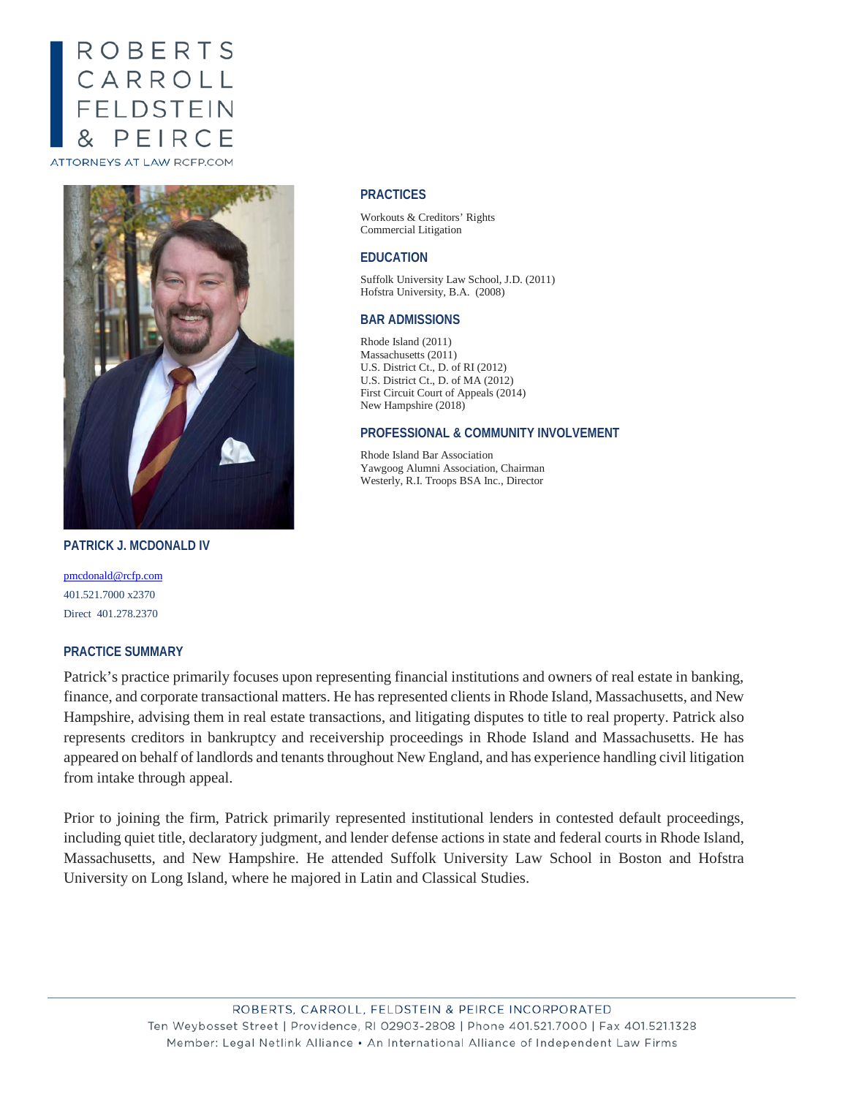# ROBERTS CARROLL<br>FELDSTEIN PEIRCE

ATTORNEYS AT LAW RCFP.COM



**PATRICK J. MCDONALD IV**

[pmcdonald@rcfp.com](mailto:pmcdonald@rcfp.com) 401.521.7000 x2370 Direct 401.278.2370

### **PRACTICE SUMMARY**

# Patrick's practice primarily focuses upon representing financial institutions and owners of real estate in banking, finance, and corporate transactional matters. He has represented clients in Rhode Island, Massachusetts, and New Hampshire, advising them in real estate transactions, and litigating disputes to title to real property. Patrick also represents creditors in bankruptcy and receivership proceedings in Rhode Island and Massachusetts. He has appeared on behalf of landlords and tenants throughout New England, and has experience handling civil litigation from intake through appeal.

Prior to joining the firm, Patrick primarily represented institutional lenders in contested default proceedings, including quiet title, declaratory judgment, and lender defense actions in state and federal courts in Rhode Island, Massachusetts, and New Hampshire. He attended Suffolk University Law School in Boston and Hofstra University on Long Island, where he majored in Latin and Classical Studies.

#### **PRACTICES**

Workouts & Creditors' Rights Commercial Litigation

#### **EDUCATION**

Suffolk University Law School, J.D. (2011) Hofstra University, B.A. (2008)

#### **BAR ADMISSIONS**

Rhode Island (2011) Massachusetts (2011) U.S. District Ct., D. of RI (2012) U.S. District Ct., D. of MA (2012) First Circuit Court of Appeals (2014) New Hampshire (2018)

#### **PROFESSIONAL & COMMUNITY INVOLVEMENT**

Rhode Island Bar Association Yawgoog Alumni Association, Chairman Westerly, R.I. Troops BSA Inc., Director